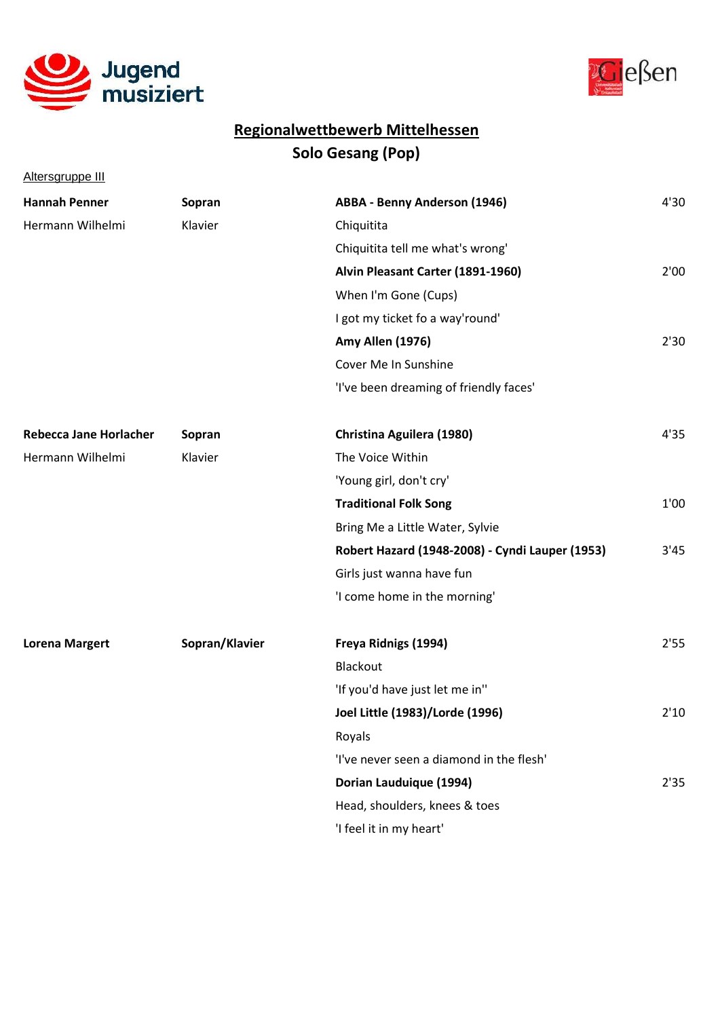



Altersgruppe III

| <b>Hannah Penner</b>          | Sopran         | <b>ABBA - Benny Anderson (1946)</b>             | 4'30 |
|-------------------------------|----------------|-------------------------------------------------|------|
| Hermann Wilhelmi              | Klavier        | Chiquitita                                      |      |
|                               |                | Chiquitita tell me what's wrong'                |      |
|                               |                | Alvin Pleasant Carter (1891-1960)               | 2'00 |
|                               |                | When I'm Gone (Cups)                            |      |
|                               |                | I got my ticket fo a way'round'                 |      |
|                               |                | Amy Allen (1976)                                | 2'30 |
|                               |                | Cover Me In Sunshine                            |      |
|                               |                | 'I've been dreaming of friendly faces'          |      |
| <b>Rebecca Jane Horlacher</b> | Sopran         | Christina Aguilera (1980)                       | 4'35 |
| Hermann Wilhelmi              | Klavier        | The Voice Within                                |      |
|                               |                | 'Young girl, don't cry'                         |      |
|                               |                | <b>Traditional Folk Song</b>                    | 1'00 |
|                               |                | Bring Me a Little Water, Sylvie                 |      |
|                               |                | Robert Hazard (1948-2008) - Cyndi Lauper (1953) | 3'45 |
|                               |                | Girls just wanna have fun                       |      |
|                               |                | 'I come home in the morning'                    |      |
| <b>Lorena Margert</b>         | Sopran/Klavier | Freya Ridnigs (1994)                            | 2'55 |
|                               |                | Blackout                                        |      |
|                               |                | 'If you'd have just let me in"                  |      |
|                               |                | Joel Little (1983)/Lorde (1996)                 | 2'10 |
|                               |                | Royals                                          |      |
|                               |                | 'I've never seen a diamond in the flesh'        |      |
|                               |                | Dorian Lauduique (1994)                         | 2'35 |
|                               |                | Head, shoulders, knees & toes                   |      |
|                               |                | 'I feel it in my heart'                         |      |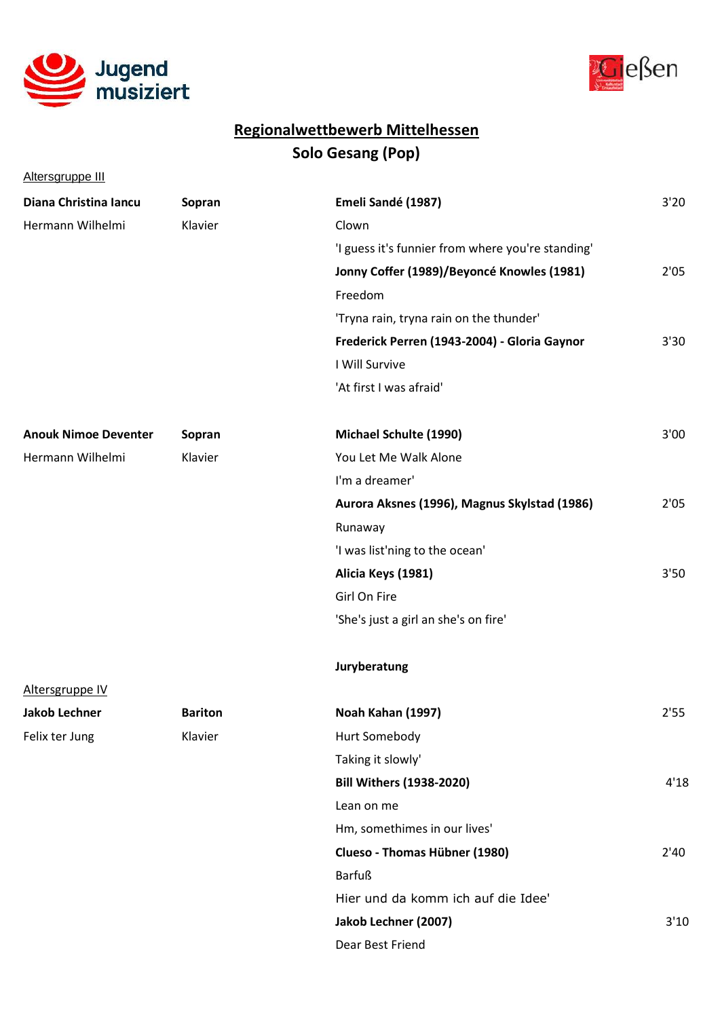



Altersgruppe III

| Diana Christina Iancu       | Sopran         | Emeli Sandé (1987)                                | 3'20 |
|-----------------------------|----------------|---------------------------------------------------|------|
| Hermann Wilhelmi            | Klavier        | Clown                                             |      |
|                             |                | 'I guess it's funnier from where you're standing' |      |
|                             |                | Jonny Coffer (1989)/Beyoncé Knowles (1981)        | 2'05 |
|                             |                | Freedom                                           |      |
|                             |                | 'Tryna rain, tryna rain on the thunder'           |      |
|                             |                | Frederick Perren (1943-2004) - Gloria Gaynor      | 3'30 |
|                             |                | I Will Survive                                    |      |
|                             |                | 'At first I was afraid'                           |      |
| <b>Anouk Nimoe Deventer</b> | Sopran         | Michael Schulte (1990)                            | 3'00 |
| Hermann Wilhelmi            | Klavier        | You Let Me Walk Alone                             |      |
|                             |                | I'm a dreamer'                                    |      |
|                             |                | Aurora Aksnes (1996), Magnus Skylstad (1986)      | 2'05 |
|                             |                | Runaway                                           |      |
|                             |                | 'I was list'ning to the ocean'                    |      |
|                             |                | Alicia Keys (1981)                                | 3'50 |
|                             |                | Girl On Fire                                      |      |
|                             |                | 'She's just a girl an she's on fire'              |      |
|                             |                | Juryberatung                                      |      |
| Altersgruppe IV             |                |                                                   |      |
| <b>Jakob Lechner</b>        | <b>Bariton</b> | Noah Kahan (1997)                                 | 2'55 |
| Felix ter Jung              | Klavier        | Hurt Somebody                                     |      |
|                             |                | Taking it slowly'                                 |      |
|                             |                | <b>Bill Withers (1938-2020)</b>                   | 4'18 |
|                             |                | Lean on me                                        |      |
|                             |                | Hm, somethimes in our lives'                      |      |
|                             |                | Clueso - Thomas Hübner (1980)                     | 2'40 |
|                             |                | <b>Barfuß</b>                                     |      |
|                             |                | Hier und da komm ich auf die Idee'                |      |
|                             |                | Jakob Lechner (2007)                              | 3'10 |
|                             |                | Dear Best Friend                                  |      |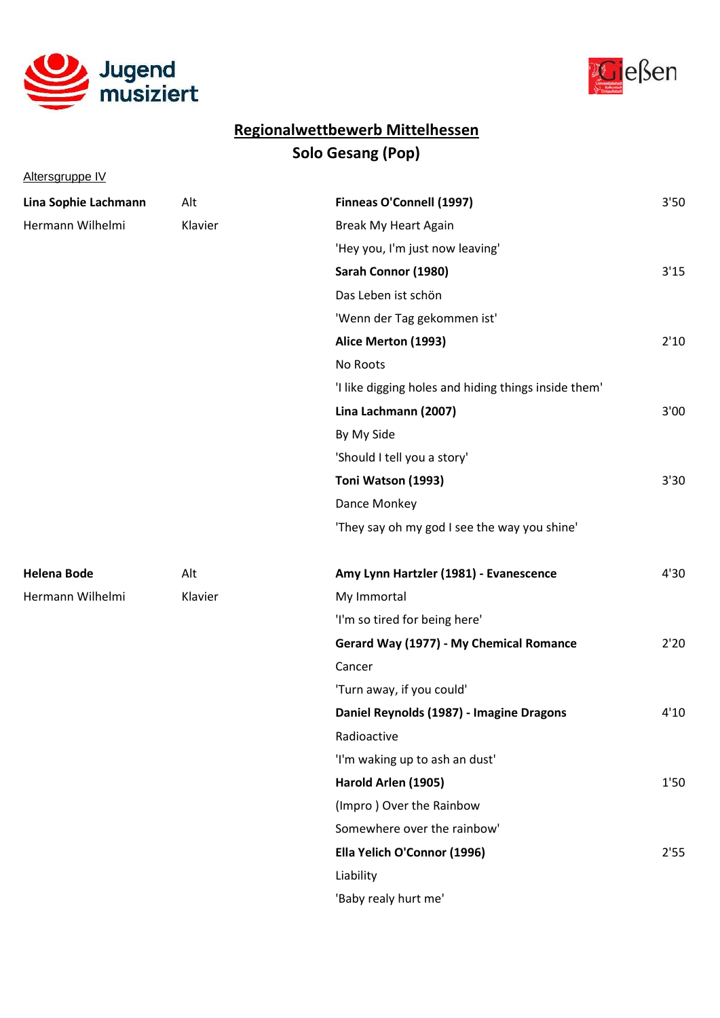



Altersgruppe IV

| Lina Sophie Lachmann | Alt     | Finneas O'Connell (1997)                             | 3'50 |
|----------------------|---------|------------------------------------------------------|------|
| Hermann Wilhelmi     | Klavier | <b>Break My Heart Again</b>                          |      |
|                      |         | 'Hey you, I'm just now leaving'                      |      |
|                      |         | Sarah Connor (1980)                                  | 3'15 |
|                      |         | Das Leben ist schön                                  |      |
|                      |         | 'Wenn der Tag gekommen ist'                          |      |
|                      |         | Alice Merton (1993)                                  | 2'10 |
|                      |         | No Roots                                             |      |
|                      |         | 'I like digging holes and hiding things inside them' |      |
|                      |         | Lina Lachmann (2007)                                 | 3'00 |
|                      |         | By My Side                                           |      |
|                      |         | 'Should I tell you a story'                          |      |
|                      |         | Toni Watson (1993)                                   | 3'30 |
|                      |         | Dance Monkey                                         |      |
|                      |         | 'They say oh my god I see the way you shine'         |      |
| <b>Helena Bode</b>   | Alt     | Amy Lynn Hartzler (1981) - Evanescence               | 4'30 |
| Hermann Wilhelmi     | Klavier | My Immortal                                          |      |
|                      |         | 'I'm so tired for being here'                        |      |
|                      |         | Gerard Way (1977) - My Chemical Romance              | 2'20 |
|                      |         | Cancer                                               |      |
|                      |         | 'Turn away, if you could'                            |      |
|                      |         | Daniel Reynolds (1987) - Imagine Dragons             | 4'10 |
|                      |         | Radioactive                                          |      |
|                      |         | 'I'm waking up to ash an dust'                       |      |
|                      |         | Harold Arlen (1905)                                  | 1'50 |
|                      |         | (Impro) Over the Rainbow                             |      |
|                      |         | Somewhere over the rainbow'                          |      |
|                      |         | Ella Yelich O'Connor (1996)                          | 2'55 |
|                      |         | Liability                                            |      |
|                      |         | 'Baby realy hurt me'                                 |      |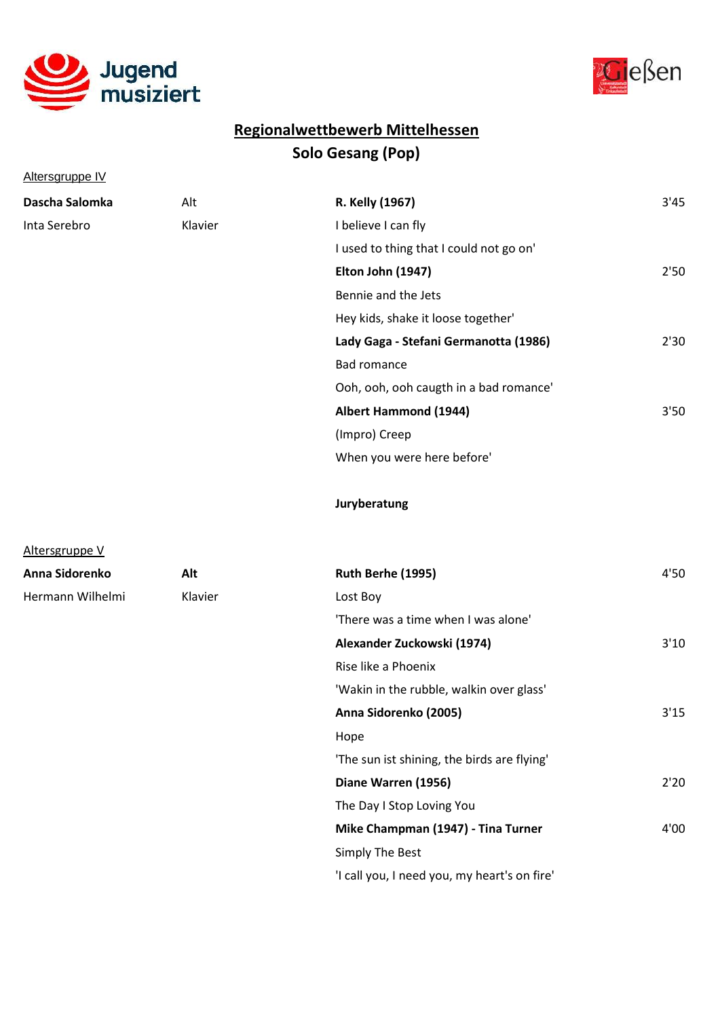



Altersgruppe IV

Altersgruppe V

| Dascha Salomka | Alt     | R. Kelly (1967)                         | 3'45 |
|----------------|---------|-----------------------------------------|------|
| Inta Serebro   | Klavier | I believe I can fly                     |      |
|                |         | I used to thing that I could not go on' |      |
|                |         | Elton John (1947)                       | 2'50 |
|                |         | Bennie and the Jets                     |      |
|                |         | Hey kids, shake it loose together'      |      |
|                |         | Lady Gaga - Stefani Germanotta (1986)   | 2'30 |
|                |         | <b>Bad romance</b>                      |      |
|                |         | Ooh, ooh, ooh caugth in a bad romance'  |      |
|                |         | <b>Albert Hammond (1944)</b>            | 3'50 |
|                |         | (Impro) Creep                           |      |
|                |         | When you were here before'              |      |

Juryberatung

| Anna Sidorenko   | Alt     | Ruth Berhe (1995)                            | 4'50 |
|------------------|---------|----------------------------------------------|------|
| Hermann Wilhelmi | Klavier | Lost Boy                                     |      |
|                  |         | 'There was a time when I was alone'          |      |
|                  |         | Alexander Zuckowski (1974)                   | 3'10 |
|                  |         | Rise like a Phoenix                          |      |
|                  |         | 'Wakin in the rubble, walkin over glass'     |      |
|                  |         | Anna Sidorenko (2005)                        | 3'15 |
|                  |         | Hope                                         |      |
|                  |         | 'The sun ist shining, the birds are flying'  |      |
|                  |         | Diane Warren (1956)                          | 2'20 |
|                  |         | The Day I Stop Loving You                    |      |
|                  |         | Mike Champman (1947) - Tina Turner           | 4'00 |
|                  |         | Simply The Best                              |      |
|                  |         | 'I call you, I need you, my heart's on fire' |      |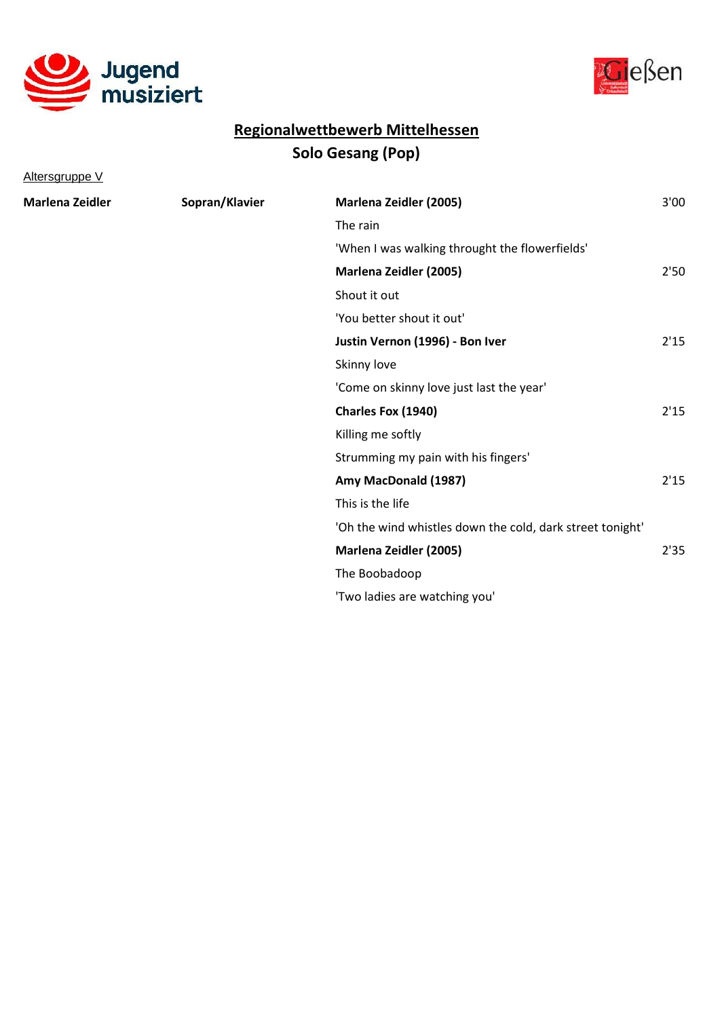



Altersgruppe V

| Marlena Zeidler | Sopran/Klavier | Marlena Zeidler (2005)                                    | 3'00 |
|-----------------|----------------|-----------------------------------------------------------|------|
|                 |                | The rain                                                  |      |
|                 |                | 'When I was walking throught the flowerfields'            |      |
|                 |                | <b>Marlena Zeidler (2005)</b>                             | 2'50 |
|                 |                | Shout it out                                              |      |
|                 |                | 'You better shout it out'                                 |      |
|                 |                | Justin Vernon (1996) - Bon Iver                           | 2'15 |
|                 |                | Skinny love                                               |      |
|                 |                | 'Come on skinny love just last the year'                  |      |
|                 |                | Charles Fox (1940)                                        | 2'15 |
|                 |                | Killing me softly                                         |      |
|                 |                | Strumming my pain with his fingers'                       |      |
|                 |                | Amy MacDonald (1987)                                      | 2'15 |
|                 |                | This is the life                                          |      |
|                 |                | 'Oh the wind whistles down the cold, dark street tonight' |      |
|                 |                | Marlena Zeidler (2005)                                    | 2'35 |
|                 |                | The Boobadoop                                             |      |
|                 |                | 'Two ladies are watching you'                             |      |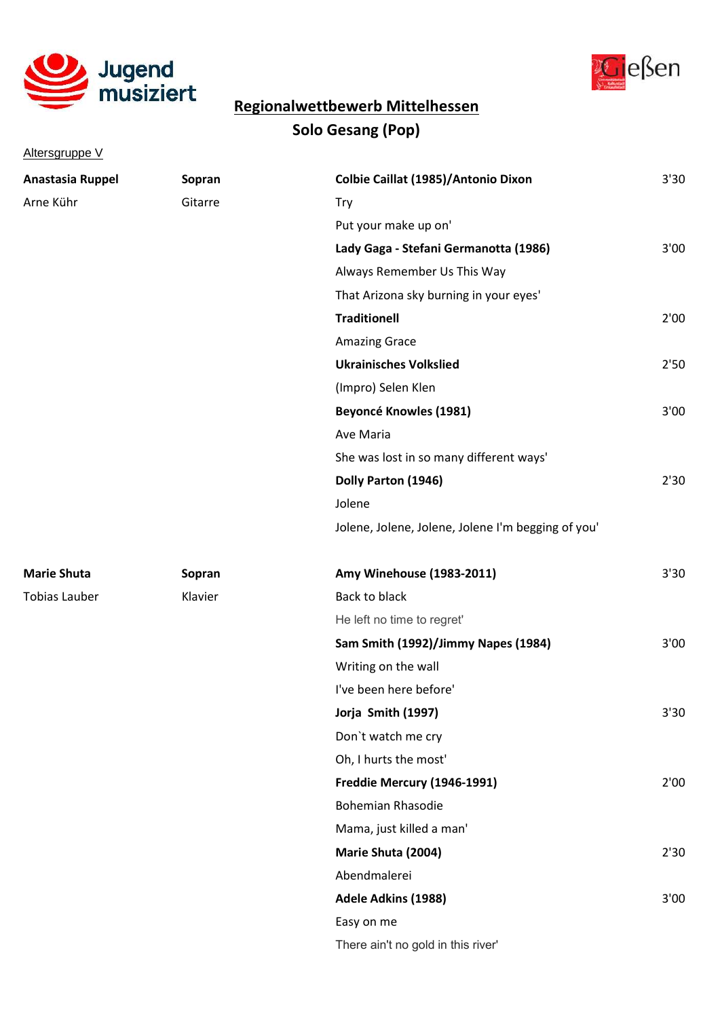

Altersgruppe V



# Solo Gesang (Pop) Regionalwettbewerb Mittelhessen

| Anastasia Ruppel     | Sopran  | Colbie Caillat (1985)/Antonio Dixon                | 3'30 |
|----------------------|---------|----------------------------------------------------|------|
| Arne Kühr            | Gitarre | Try                                                |      |
|                      |         | Put your make up on'                               |      |
|                      |         | Lady Gaga - Stefani Germanotta (1986)              | 3'00 |
|                      |         | Always Remember Us This Way                        |      |
|                      |         | That Arizona sky burning in your eyes'             |      |
|                      |         | <b>Traditionell</b>                                | 2'00 |
|                      |         | <b>Amazing Grace</b>                               |      |
|                      |         | <b>Ukrainisches Volkslied</b>                      | 2'50 |
|                      |         | (Impro) Selen Klen                                 |      |
|                      |         | <b>Beyoncé Knowles (1981)</b>                      | 3'00 |
|                      |         | Ave Maria                                          |      |
|                      |         | She was lost in so many different ways'            |      |
|                      |         | Dolly Parton (1946)                                | 2'30 |
|                      |         | Jolene                                             |      |
|                      |         | Jolene, Jolene, Jolene, Jolene I'm begging of you' |      |
| <b>Marie Shuta</b>   | Sopran  | Amy Winehouse (1983-2011)                          | 3'30 |
| <b>Tobias Lauber</b> | Klavier | Back to black                                      |      |
|                      |         | He left no time to regret'                         |      |
|                      |         | Sam Smith (1992)/Jimmy Napes (1984)                | 3'00 |
|                      |         | Writing on the wall                                |      |
|                      |         | I've been here before'                             |      |
|                      |         | Jorja Smith (1997)                                 | 3'30 |
|                      |         | Don't watch me cry                                 |      |
|                      |         | Oh, I hurts the most'                              |      |
|                      |         | Freddie Mercury (1946-1991)                        | 2'00 |
|                      |         | <b>Bohemian Rhasodie</b>                           |      |
|                      |         | Mama, just killed a man'                           |      |
|                      |         | Marie Shuta (2004)                                 | 2'30 |
|                      |         | Abendmalerei                                       |      |
|                      |         | Adele Adkins (1988)                                | 3'00 |
|                      |         | Easy on me                                         |      |
|                      |         | There ain't no gold in this river'                 |      |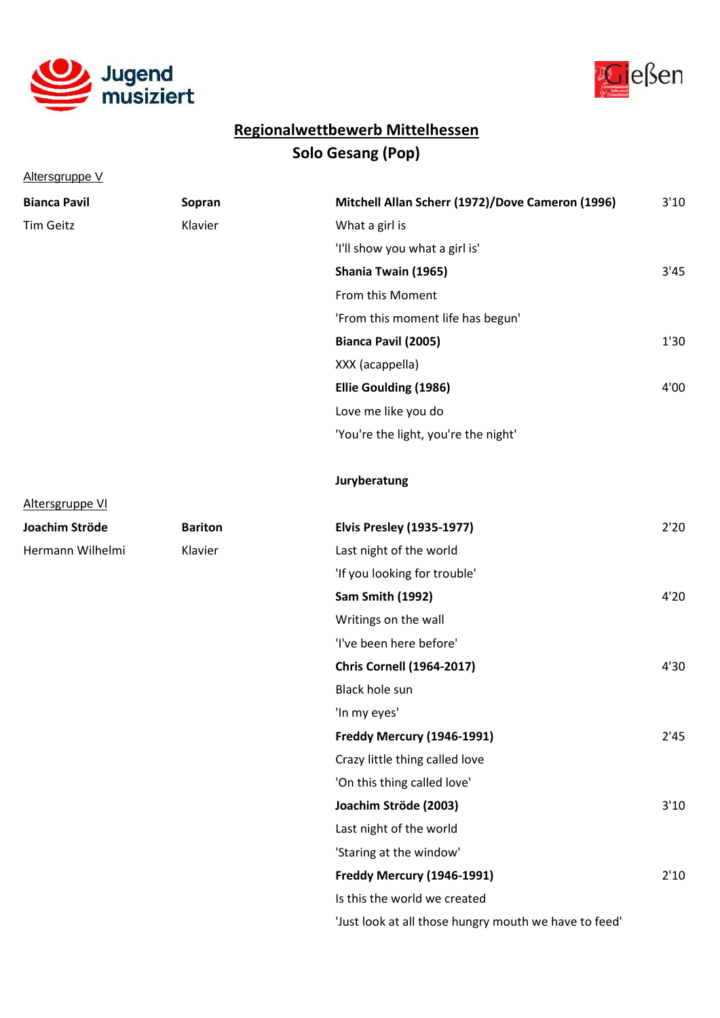



Altersgruppe V

| <b>Bianca Pavil</b> | Sopran         | Mitchell Allan Scherr (1972)/Dove Cameron (1996)      | 3'10 |
|---------------------|----------------|-------------------------------------------------------|------|
| Tim Geitz           | Klavier        | What a girl is                                        |      |
|                     |                | 'I'll show you what a girl is'                        |      |
|                     |                | Shania Twain (1965)                                   | 3'45 |
|                     |                | From this Moment                                      |      |
|                     |                | 'From this moment life has begun'                     |      |
|                     |                | Bianca Pavil (2005)                                   | 1'30 |
|                     |                | XXX (acappella)                                       |      |
|                     |                | <b>Ellie Goulding (1986)</b>                          | 4'00 |
|                     |                | Love me like you do                                   |      |
|                     |                | 'You're the light, you're the night'                  |      |
|                     |                | Juryberatung                                          |      |
| Altersgruppe VI     |                |                                                       |      |
| Joachim Ströde      | <b>Bariton</b> | <b>Elvis Presley (1935-1977)</b>                      | 2'20 |
| Hermann Wilhelmi    | Klavier        | Last night of the world                               |      |
|                     |                | 'If you looking for trouble'                          |      |
|                     |                | <b>Sam Smith (1992)</b>                               | 4'20 |
|                     |                | Writings on the wall                                  |      |
|                     |                | 'I've been here before'                               |      |
|                     |                | <b>Chris Cornell (1964-2017)</b>                      | 4'30 |
|                     |                | Black hole sun                                        |      |
|                     |                | 'In my eyes'                                          |      |
|                     |                | Freddy Mercury (1946-1991)                            | 2'45 |
|                     |                | Crazy little thing called love                        |      |
|                     |                | 'On this thing called love'                           |      |
|                     |                | Joachim Ströde (2003)                                 | 3'10 |
|                     |                | Last night of the world                               |      |
|                     |                | 'Staring at the window'                               |      |
|                     |                | Freddy Mercury (1946-1991)                            | 2'10 |
|                     |                | Is this the world we created                          |      |
|                     |                | 'Just look at all those hungry mouth we have to feed' |      |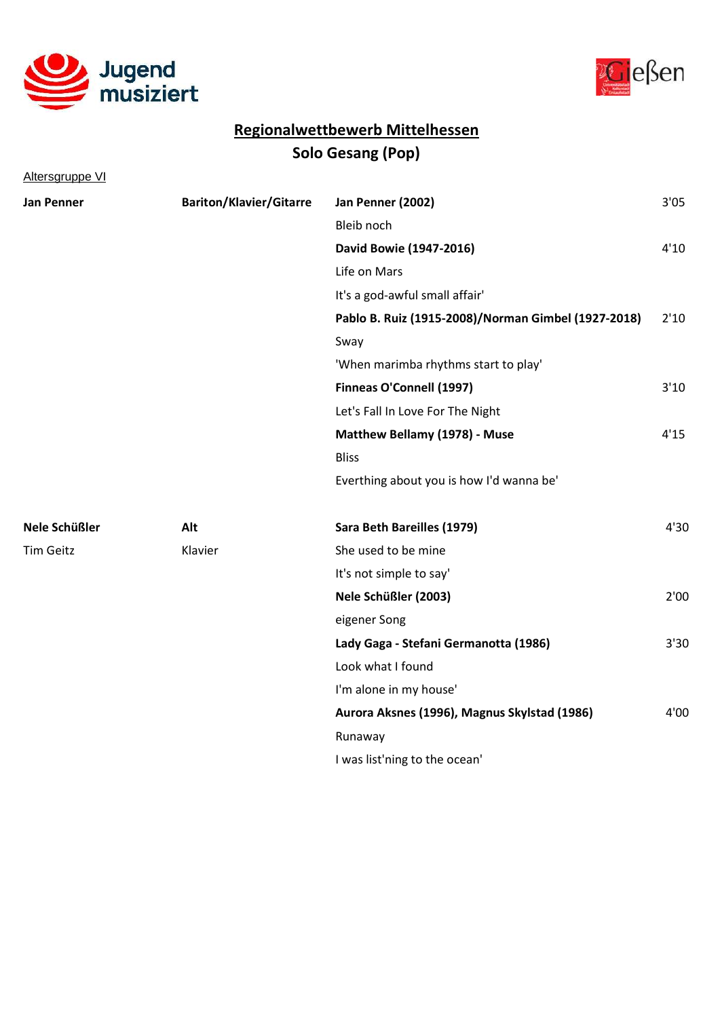



Altersgruppe VI

| <b>Jan Penner</b> | <b>Bariton/Klavier/Gitarre</b> | Jan Penner (2002)                                   | 3'05 |
|-------------------|--------------------------------|-----------------------------------------------------|------|
|                   |                                | Bleib noch                                          |      |
|                   |                                | David Bowie (1947-2016)                             | 4'10 |
|                   |                                | Life on Mars                                        |      |
|                   |                                | It's a god-awful small affair'                      |      |
|                   |                                | Pablo B. Ruiz (1915-2008)/Norman Gimbel (1927-2018) | 2'10 |
|                   |                                | Sway                                                |      |
|                   |                                | 'When marimba rhythms start to play'                |      |
|                   |                                | Finneas O'Connell (1997)                            | 3'10 |
|                   |                                | Let's Fall In Love For The Night                    |      |
|                   |                                | Matthew Bellamy (1978) - Muse                       | 4'15 |
|                   |                                | <b>Bliss</b>                                        |      |
|                   |                                | Everthing about you is how I'd wanna be'            |      |
| Nele Schüßler     | Alt                            | Sara Beth Bareilles (1979)                          | 4'30 |
| <b>Tim Geitz</b>  | Klavier                        | She used to be mine                                 |      |
|                   |                                | It's not simple to say'                             |      |
|                   |                                | Nele Schüßler (2003)                                | 2'00 |
|                   |                                | eigener Song                                        |      |
|                   |                                | Lady Gaga - Stefani Germanotta (1986)               | 3'30 |
|                   |                                | Look what I found                                   |      |
|                   |                                | I'm alone in my house'                              |      |
|                   |                                | Aurora Aksnes (1996), Magnus Skylstad (1986)        | 4'00 |
|                   |                                | Runaway                                             |      |
|                   |                                | I was list'ning to the ocean'                       |      |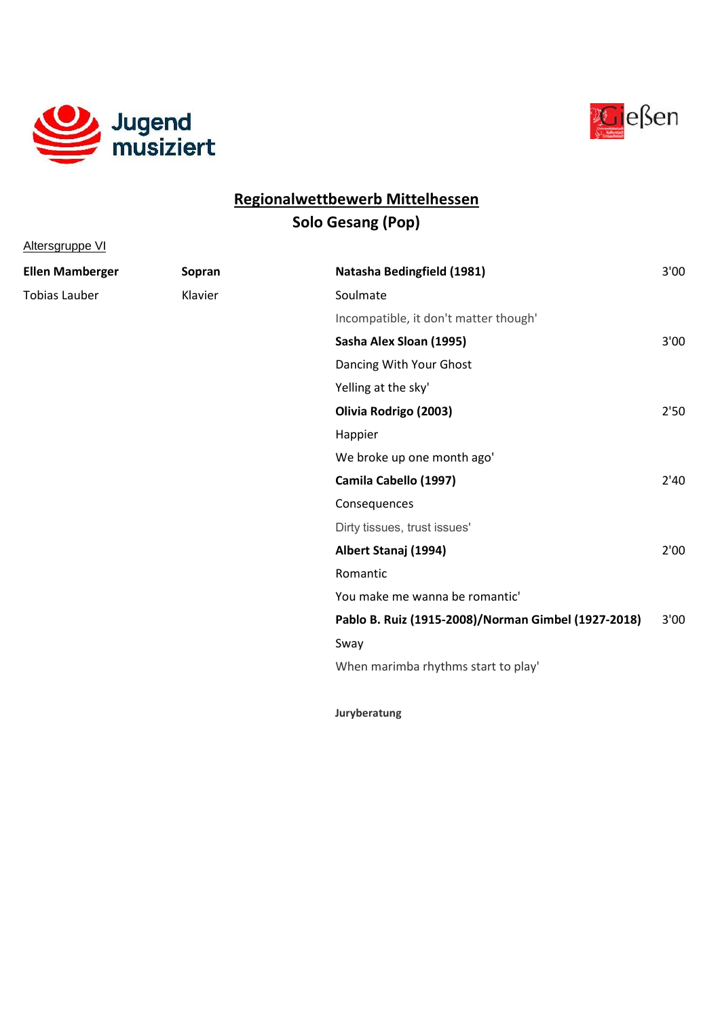

Altersgruppe VI



#### Solo Gesang (Pop) Regionalwettbewerb Mittelhessen

| <b>Ellen Mamberger</b> | Sopran  | Natasha Bedingfield (1981)                          | 3'00 |
|------------------------|---------|-----------------------------------------------------|------|
| <b>Tobias Lauber</b>   | Klavier | Soulmate                                            |      |
|                        |         | Incompatible, it don't matter though'               |      |
|                        |         | Sasha Alex Sloan (1995)                             | 3'00 |
|                        |         | Dancing With Your Ghost                             |      |
|                        |         | Yelling at the sky'                                 |      |
|                        |         | Olivia Rodrigo (2003)                               | 2'50 |
|                        |         | Happier                                             |      |
|                        |         | We broke up one month ago'                          |      |
|                        |         | Camila Cabello (1997)                               | 2'40 |
|                        |         | Consequences                                        |      |
|                        |         | Dirty tissues, trust issues'                        |      |
|                        |         | Albert Stanaj (1994)                                | 2'00 |
|                        |         | Romantic                                            |      |
|                        |         | You make me wanna be romantic'                      |      |
|                        |         | Pablo B. Ruiz (1915-2008)/Norman Gimbel (1927-2018) | 3'00 |
|                        |         | Sway                                                |      |
|                        |         | When marimba rhythms start to play'                 |      |
|                        |         |                                                     |      |

Juryberatung